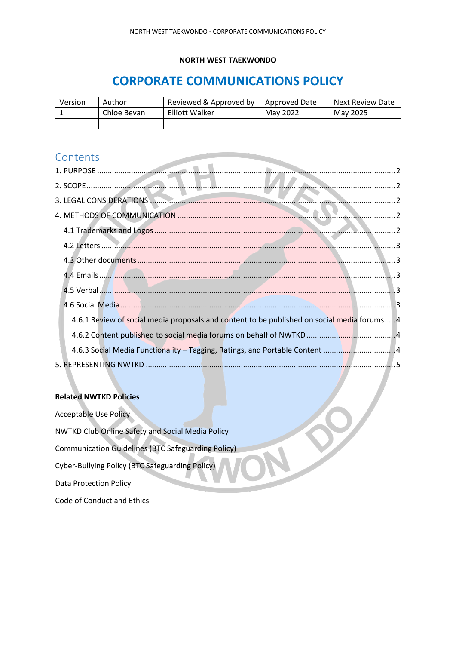#### **NORTH WEST TAEKWONDO**

# **CORPORATE COMMUNICATIONS POLICY**

| Version | Author      | Reviewed & Approved by | Approved Date | Next Review Date |
|---------|-------------|------------------------|---------------|------------------|
|         | Chloe Bevan | <b>Elliott Walker</b>  | May 2022      | May 2025         |
|         |             |                        |               |                  |

### **Contents**

| 4.6.1 Review of social media proposals and content to be published on social media forums 4 |  |
|---------------------------------------------------------------------------------------------|--|
|                                                                                             |  |
|                                                                                             |  |
|                                                                                             |  |

#### **Related NWTKD Policies**

Acceptable Use Policy NWTKD Club Online Safety and Social Media Policy Communication Guidelines (BTC Safeguarding Policy) Cyber-Bullying Policy (BTC Safeguarding Policy) Data Protection Policy Code of Conduct and Ethics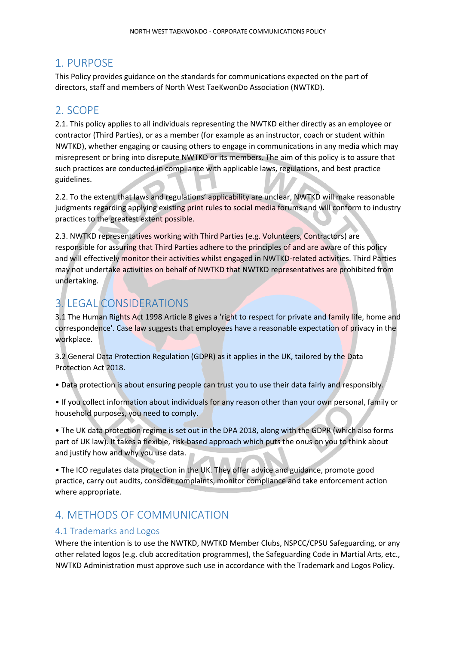## <span id="page-1-0"></span>1. PURPOSE

This Policy provides guidance on the standards for communications expected on the part of directors, staff and members of North West TaeKwonDo Association (NWTKD).

## <span id="page-1-1"></span>2. SCOPE

2.1. This policy applies to all individuals representing the NWTKD either directly as an employee or contractor (Third Parties), or as a member (for example as an instructor, coach or student within NWTKD), whether engaging or causing others to engage in communications in any media which may misrepresent or bring into disrepute NWTKD or its members. The aim of this policy is to assure that such practices are conducted in compliance with applicable laws, regulations, and best practice guidelines.

2.2. To the extent that laws and regulations' applicability are unclear, NWTKD will make reasonable judgments regarding applying existing print rules to social media forums and will conform to industry practices to the greatest extent possible.

2.3. NWTKD representatives working with Third Parties (e.g. Volunteers, Contractors) are responsible for assuring that Third Parties adhere to the principles of and are aware of this policy and will effectively monitor their activities whilst engaged in NWTKD-related activities. Third Parties may not undertake activities on behalf of NWTKD that NWTKD representatives are prohibited from undertaking.

## <span id="page-1-2"></span>3. LEGAL CONSIDERATIONS

3.1 The Human Rights Act 1998 Article 8 gives a 'right to respect for private and family life, home and correspondence'. Case law suggests that employees have a reasonable expectation of privacy in the workplace.

3.2 General Data Protection Regulation (GDPR) as it applies in the UK, tailored by the Data Protection Act 2018.

• Data protection is about ensuring people can trust you to use their data fairly and responsibly.

• If you collect information about individuals for any reason other than your own personal, family or household purposes, you need to comply.

• The UK data protection regime is set out in the DPA 2018, along with the GDPR (which also forms part of UK law). It takes a flexible, risk-based approach which puts the onus on you to think about and justify how and why you use data.

• The ICO regulates data protection in the UK. They offer advice and guidance, promote good practice, carry out audits, consider complaints, monitor compliance and take enforcement action where appropriate.

## <span id="page-1-3"></span>4. METHODS OF COMMUNICATION

### <span id="page-1-4"></span>4.1 Trademarks and Logos

Where the intention is to use the NWTKD, NWTKD Member Clubs, NSPCC/CPSU Safeguarding, or any other related logos (e.g. club accreditation programmes), the Safeguarding Code in Martial Arts, etc., NWTKD Administration must approve such use in accordance with the Trademark and Logos Policy.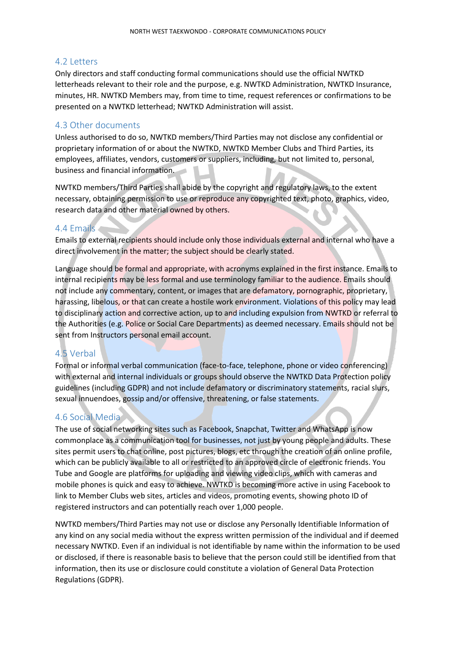#### <span id="page-2-0"></span>4.2 Letters

Only directors and staff conducting formal communications should use the official NWTKD letterheads relevant to their role and the purpose, e.g. NWTKD Administration, NWTKD Insurance, minutes, HR. NWTKD Members may, from time to time, request references or confirmations to be presented on a NWTKD letterhead; NWTKD Administration will assist.

#### <span id="page-2-1"></span>4.3 Other documents

Unless authorised to do so, NWTKD members/Third Parties may not disclose any confidential or proprietary information of or about the NWTKD, NWTKD Member Clubs and Third Parties, its employees, affiliates, vendors, customers or suppliers, including, but not limited to, personal, business and financial information.

NWTKD members/Third Parties shall abide by the copyright and regulatory laws, to the extent necessary, obtaining permission to use or reproduce any copyrighted text, photo, graphics, video, research data and other material owned by others.

### <span id="page-2-2"></span>4.4 Emails

Emails to external recipients should include only those individuals external and internal who have a direct involvement in the matter; the subject should be clearly stated.

Language should be formal and appropriate, with acronyms explained in the first instance. Emails to internal recipients may be less formal and use terminology familiar to the audience. Emails should not include any commentary, content, or images that are defamatory, pornographic, proprietary, harassing, libelous, or that can create a hostile work environment. Violations of this policy may lead to disciplinary action and corrective action, up to and including expulsion from NWTKD or referral to the Authorities (e.g. Police or Social Care Departments) as deemed necessary. Emails should not be sent from Instructors personal email account.

### <span id="page-2-3"></span>4.5 Verbal

Formal or informal verbal communication (face-to-face, telephone, phone or video conferencing) with external and internal individuals or groups should observe the NWTKD Data Protection policy guidelines (including GDPR) and not include defamatory or discriminatory statements, racial slurs, sexual innuendoes, gossip and/or offensive, threatening, or false statements.

### <span id="page-2-4"></span>4.6 Social Media

The use of social networking sites such as Facebook, Snapchat, Twitter and WhatsApp is now commonplace as a communication tool for businesses, not just by young people and adults. These sites permit users to chat online, post pictures, blogs, etc through the creation of an online profile, which can be publicly available to all or restricted to an approved circle of electronic friends. You Tube and Google are platforms for uploading and viewing video clips, which with cameras and mobile phones is quick and easy to achieve. NWTKD is becoming more active in using Facebook to link to Member Clubs web sites, articles and videos, promoting events, showing photo ID of registered instructors and can potentially reach over 1,000 people.

NWTKD members/Third Parties may not use or disclose any Personally Identifiable Information of any kind on any social media without the express written permission of the individual and if deemed necessary NWTKD. Even if an individual is not identifiable by name within the information to be used or disclosed, if there is reasonable basis to believe that the person could still be identified from that information, then its use or disclosure could constitute a violation of General Data Protection Regulations (GDPR).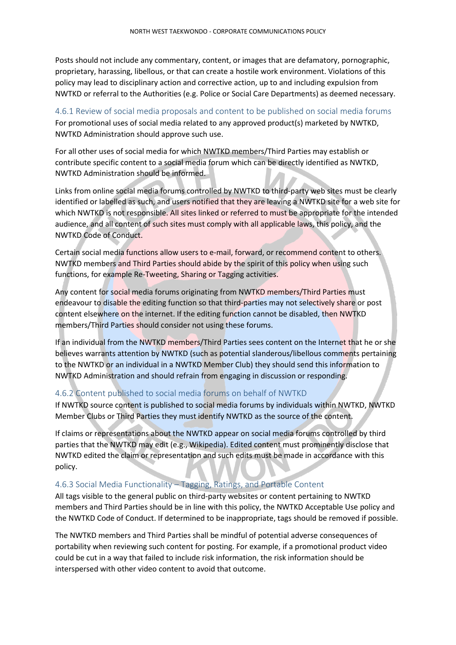Posts should not include any commentary, content, or images that are defamatory, pornographic, proprietary, harassing, libellous, or that can create a hostile work environment. Violations of this policy may lead to disciplinary action and corrective action, up to and including expulsion from NWTKD or referral to the Authorities (e.g. Police or Social Care Departments) as deemed necessary.

#### <span id="page-3-0"></span>4.6.1 Review of social media proposals and content to be published on social media forums For promotional uses of social media related to any approved product(s) marketed by NWTKD, NWTKD Administration should approve such use.

For all other uses of social media for which NWTKD members/Third Parties may establish or contribute specific content to a social media forum which can be directly identified as NWTKD, NWTKD Administration should be informed.

Links from online social media forums controlled by NWTKD to third-party web sites must be clearly identified or labelled as such, and users notified that they are leaving a NWTKD site for a web site for which NWTKD is not responsible. All sites linked or referred to must be appropriate for the intended audience, and all content of such sites must comply with all applicable laws, this policy, and the NWTKD Code of Conduct.

Certain social media functions allow users to e-mail, forward, or recommend content to others. NWTKD members and Third Parties should abide by the spirit of this policy when using such functions, for example Re-Tweeting, Sharing or Tagging activities.

Any content for social media forums originating from NWTKD members/Third Parties must endeavour to disable the editing function so that third-parties may not selectively share or post content elsewhere on the internet. If the editing function cannot be disabled, then NWTKD members/Third Parties should consider not using these forums.

If an individual from the NWTKD members/Third Parties sees content on the Internet that he or she believes warrants attention by NWTKD (such as potential slanderous/libellous comments pertaining to the NWTKD or an individual in a NWTKD Member Club) they should send this information to NWTKD Administration and should refrain from engaging in discussion or responding.

### <span id="page-3-1"></span>4.6.2 Content published to social media forums on behalf of NWTKD

If NWTKD source content is published to social media forums by individuals within NWTKD, NWTKD Member Clubs or Third Parties they must identify NWTKD as the source of the content.

If claims or representations about the NWTKD appear on social media forums controlled by third parties that the NWTKD may edit (e.g., Wikipedia). Edited content must prominently disclose that NWTKD edited the claim or representation and such edits must be made in accordance with this policy.

### <span id="page-3-2"></span>4.6.3 Social Media Functionality – Tagging, Ratings, and Portable Content

All tags visible to the general public on third-party websites or content pertaining to NWTKD members and Third Parties should be in line with this policy, the NWTKD Acceptable Use policy and the NWTKD Code of Conduct. If determined to be inappropriate, tags should be removed if possible.

The NWTKD members and Third Parties shall be mindful of potential adverse consequences of portability when reviewing such content for posting. For example, if a promotional product video could be cut in a way that failed to include risk information, the risk information should be interspersed with other video content to avoid that outcome.